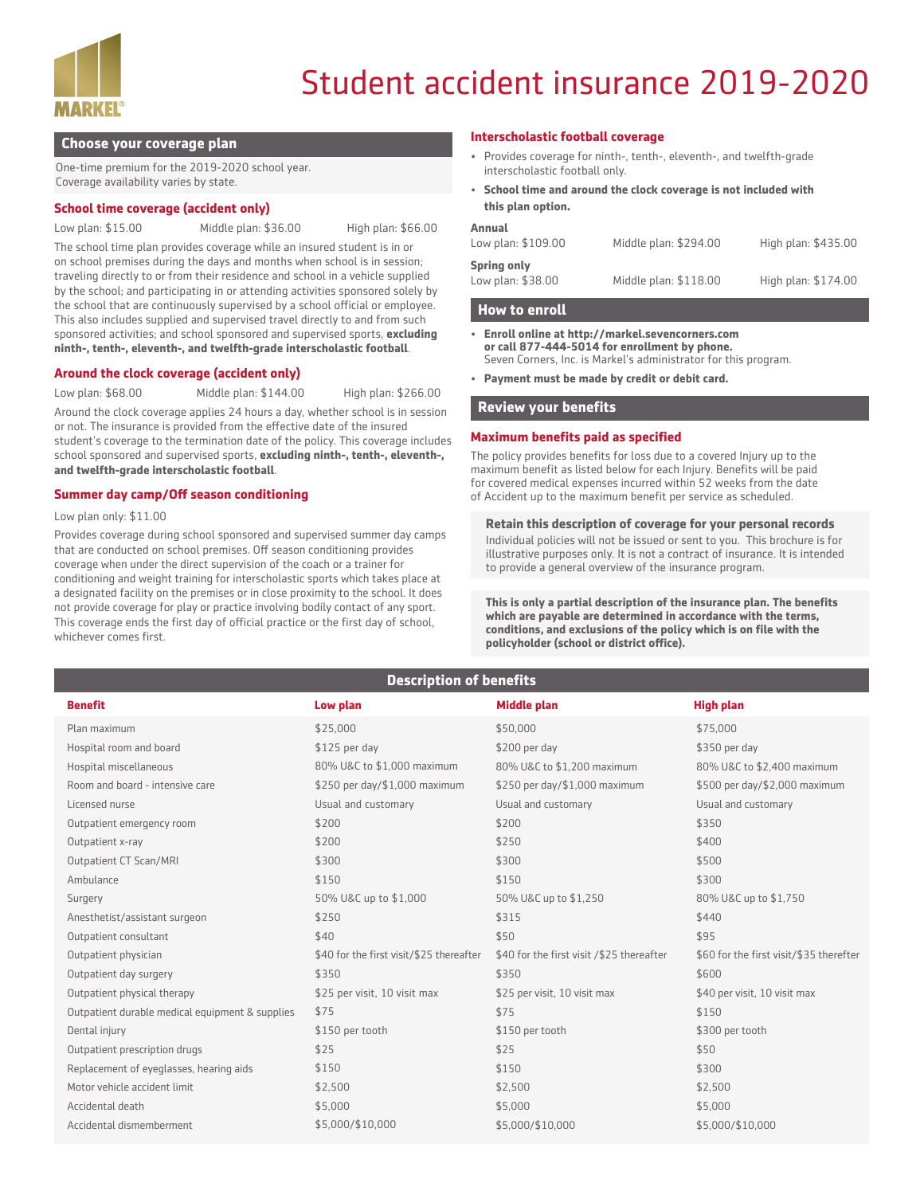

# Student accident insurance 2019-2020

#### **Choose your coverage plan**

One-time premium for the 2019-2020 school year. Coverage availability varies by state.

#### **School time coverage (accident only)**

Low plan: \$15.00 Middle plan: \$36.00 High plan: \$66.00

The school time plan provides coverage while an insured student is in or on school premises during the days and months when school is in session; traveling directly to or from their residence and school in a vehicle supplied by the school; and participating in or attending activities sponsored solely by the school that are continuously supervised by a school official or employee. This also includes supplied and supervised travel directly to and from such sponsored activities; and school sponsored and supervised sports, **excluding ninth-, tenth-, eleventh-, and twelfth-grade interscholastic football**.

#### **Around the clock coverage (accident only)**

Low plan: \$68.00 Middle plan: \$144.00 High plan: \$266.00

Around the clock coverage applies 24 hours a day, whether school is in session or not. The insurance is provided from the effective date of the insured student's coverage to the termination date of the policy. This coverage includes school sponsored and supervised sports, **excluding ninth-, tenth-, eleventh-, and twelfth-grade interscholastic football**.

#### **Summer day camp/Off season conditioning**

Low plan only: \$11.00

Provides coverage during school sponsored and supervised summer day camps that are conducted on school premises. Off season conditioning provides coverage when under the direct supervision of the coach or a trainer for conditioning and weight training for interscholastic sports which takes place at a designated facility on the premises or in close proximity to the school. It does not provide coverage for play or practice involving bodily contact of any sport. This coverage ends the first day of official practice or the first day of school, whichever comes first.

#### **Interscholastic football coverage**

- Provides coverage for ninth-, tenth-, eleventh-, and twelfth-grade interscholastic football only.
- **School time and around the clock coverage is not included with this plan option.**

| <b>Annual</b><br>Low plan: \$109.00     | Middle plan: \$294.00 | High plan: \$435.00 |
|-----------------------------------------|-----------------------|---------------------|
| <b>Spring only</b><br>Low plan: \$38.00 | Middle plan: \$118.00 | High plan: \$174.00 |

#### **How to enroll**

- **• Enroll online at http://markel.sevencorners.com or call 877-444-5014 for enrollment by phone.**  Seven Corners, Inc. is Markel's administrator for this program.
- **• Payment must be made by credit or debit card.**

#### **Review your benefits**

#### **Maximum benefits paid as specified**

The policy provides benefits for loss due to a covered Injury up to the maximum benefit as listed below for each Injury. Benefits will be paid for covered medical expenses incurred within 52 weeks from the date of Accident up to the maximum benefit per service as scheduled.

#### **Retain this description of coverage for your personal records**

Individual policies will not be issued or sent to you. This brochure is for illustrative purposes only. It is not a contract of insurance. It is intended to provide a general overview of the insurance program.

**This is only a partial description of the insurance plan. The benefits which are payable are determined in accordance with the terms, conditions, and exclusions of the policy which is on file with the policyholder (school or district office).**

## **Description of benefits**

| <b>Benefit</b>                                  | Low plan                                 | <b>Middle plan</b>                        | <b>High plan</b>                        |
|-------------------------------------------------|------------------------------------------|-------------------------------------------|-----------------------------------------|
| Plan maximum                                    | \$25,000                                 | \$50,000                                  | \$75,000                                |
| Hospital room and board                         | $$125$ per day                           | \$200 per day                             | \$350 per day                           |
| Hospital miscellaneous                          | 80% U&C to \$1,000 maximum               | 80% U&C to \$1,200 maximum                | 80% U&C to \$2,400 maximum              |
| Room and board - intensive care                 | \$250 per day/\$1,000 maximum            | \$250 per day/\$1,000 maximum             | \$500 per day/\$2,000 maximum           |
| Licensed nurse                                  | Usual and customary                      | Usual and customary                       | Usual and customary                     |
| Outpatient emergency room                       | \$200                                    | \$200                                     | \$350                                   |
| Outpatient x-ray                                | \$200                                    | \$250                                     | \$400                                   |
| Outpatient CT Scan/MRI                          | \$300                                    | \$300                                     | \$500                                   |
| Ambulance                                       | \$150                                    | \$150                                     | \$300                                   |
| Surgery                                         | 50% U&C up to \$1,000                    | 50% U&C up to \$1,250                     | 80% U&C up to \$1,750                   |
| Anesthetist/assistant surgeon                   | \$250                                    | \$315                                     | \$440                                   |
| Outpatient consultant                           | \$40                                     | \$50                                      | \$95                                    |
| Outpatient physician                            | \$40 for the first visit/\$25 thereafter | \$40 for the first visit /\$25 thereafter | \$60 for the first visit/\$35 therefter |
| Outpatient day surgery                          | \$350                                    | \$350                                     | \$600                                   |
| Outpatient physical therapy                     | \$25 per visit, 10 visit max             | \$25 per visit, 10 visit max              | \$40 per visit, 10 visit max            |
| Outpatient durable medical equipment & supplies | \$75                                     | \$75                                      | \$150                                   |
| Dental injury                                   | \$150 per tooth                          | \$150 per tooth                           | \$300 per tooth                         |
| Outpatient prescription drugs                   | \$25                                     | \$25                                      | \$50                                    |
| Replacement of eyeglasses, hearing aids         | \$150                                    | \$150                                     | \$300                                   |
| Motor vehicle accident limit                    | \$2,500                                  | \$2,500                                   | \$2,500                                 |
| Accidental death                                | \$5,000                                  | \$5,000                                   | \$5,000                                 |
| Accidental dismemberment                        | \$5,000/\$10,000                         | \$5,000/\$10,000                          | \$5,000/\$10,000                        |